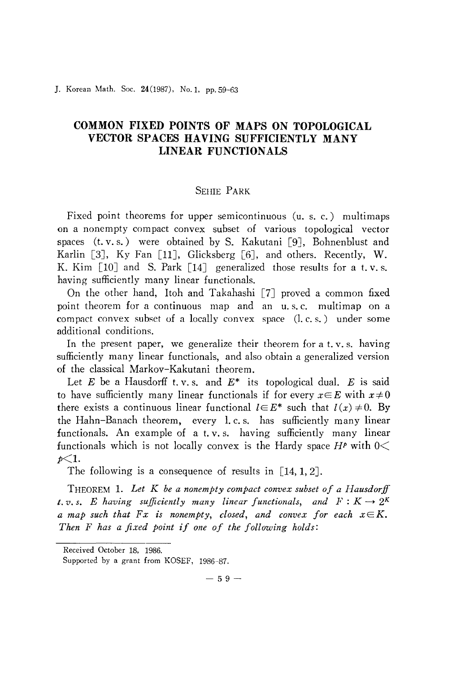]. Korean Math. Soc. 24(1987), No.I, pp. 59-63

## **COMMON FIXED POINTS OF MAPS ON TOPOLOGICAL VECTOR SPACES HAVING SUFFICIENTLY MANY LINEAR FUNCTIONALS**

## SEHIE PARK

Fixed point theorems for upper semicontinuous (u. s. c.) multimaps on a nonempty compact convex subset of various topological vector spaces  $(t. v. s.)$  were obtained by S. Kakutani [9], Bohnenblust and Karlin [3], Ky Fan [11], Glicksberg [6], and others. Recently, W. K. Kim  $\lceil 10 \rceil$  and S. Park  $\lceil 14 \rceil$  generalized those results for a t.v.s. having sufficiently many linear functionals.

On the other hand, Itoh and Takahashi [7] proved a common fixed point theorem for a continuous map and an u. s. c. multimap on a compact convex subset of a locally convex space (1. c. s.) under some additional conditions.

In the present paper, we generalize their theorem for a t.v.s. having sufficiently many linear functionals, and also obtain a generalized version of the classical Markov-Kakutani theorem.

Let *E* be a Hausdorff t. v. s. and *E\** its topological dual. *E* is said to have sufficiently many linear functionals if for every  $x \in E$  with  $x \neq 0$ there exists a continuous linear functional  $l \in E^*$  such that  $l(x) \neq 0$ . By the Hahn-Banach theorem, every 1. c. s. has sufficiently many linear functionals. An example of a t. v. s. having sufficiently many linear functionals which is not locally convex is the Hardy space  $H^p$  with  $0 \leq$ *p<1.*

The following is a consequence of results in  $[14, 1, 2]$ .

THEOREM 1. *Let K be a nonempty compact convex subset of a Hausdorff t.v.s. E having sufficiently many linear functionals, and*  $F: K \rightarrow 2^K$ *a* map such that  $Fx$  is nonempty, closed, and convex for each  $x \in K$ . *Then <sup>F</sup> has <sup>a</sup> fixed point if one of the following holds:*

 $-59-$ 

Received October 18, 1986.

Supported by a grant from KOSEF, 1986-87.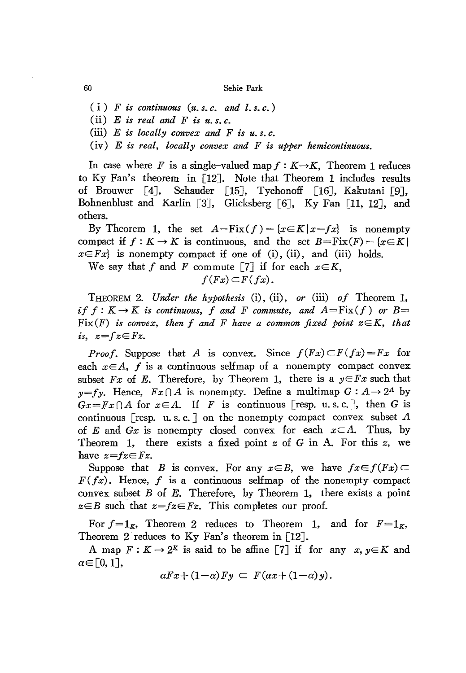60 Sehie Park

- $(i)$  *F is continuous*  $(u, s, c, and l, s, c)$
- (ii)  $E$  *is real and*  $F$  *is u.s.c.*
- (iii) E *is locally convex and F is u. s. c.*
- (iv) *E is real, locally convex and F is upper hemicontinuous.*

In case where *F* is a single-valued map  $f: K \rightarrow K$ , Theorem 1 reduces to Ky Fan's theorem in [12]. Note that Theorem 1 includes results of Brouwer [4J, &hauder [15J, Tychonoff [16J, Kakutani [9J, Bohnenblust and Karlin [3], Glicksberg [6], Ky Fan [11, 12], and others.

By Theorem 1, the set  $A = Fix(f) = {x \in K | x = fx}$  is nonempty compact if  $f: K \to K$  is continuous, and the set  $B = Fix(F) = \{x \in K\}$  $x \in F_x$  is nonempty compact if one of (i), (ii), and (iii) holds.

We say that f and F commute [7] if for each  $x \in K$ ,

$$
f(Fx) \subset F(fx).
$$

THEOREM 2. *Under the hypothesis* (i), (ii) , *or* (iii) *of* Theorem 1, *if*  $f: K \to K$  *is continuous,*  $f$  *and*  $F$  *commute,* and  $A = Fix(f)$  *or*  $B =$  $Fix(F)$  *is convex, then*  $f$  *and*  $F$  *have a common fixed point*  $z \in K$ *, that is,*  $z=fz \in Fz$ .

*Proof.* Suppose that *A* is convex. Since  $f(Fx) \subset F(fx) = Fx$  for each  $x \in A$ ,  $f$  is a continuous selfmap of a nonempty compact convex subset *Fx* of *E*. Therefore, by Theorem 1, there is a  $y \in Fx$  such that  $y = fy$ . Hence,  $Fx \cap A$  is nonempty. Define a multimap  $G : A \rightarrow 2^A$  by  $Gx = Fx \cap A$  for  $x \in A$ . If *F* is continuous [resp. u.s.c.], then *G* is continuous [resp. u.s.c.] on the nonempty compact convex subset  $A$ of E and  $Gx$  is nonempty closed convex for each  $x \in A$ . Thus, by Theorem 1, there exists a fixed point *z* of G in A. For this *z,* we have  $z=fz\in Fz$ .

Suppose that *B* is convex. For any  $x \in B$ , we have  $fx \in f(Fx) \subset$  $F(fx)$ . Hence, f is a continuous selfmap of the nonempty compact convex subset  $B$  of  $E$ . Therefore, by Theorem 1, there exists a point  $z \in B$  such that  $z = fz \in Fz$ . This completes our proof.

For  $f=1_K$ , Theorem 2 reduces to Theorem 1, and for  $F=1_K$ , Theorem 2 reduces to Ky Fan's theorem in [12].

A map  $F: K \to 2^K$  is said to be affine [7] if for any  $x, y \in K$  and  $\alpha \in [0,1]$ ,

$$
\alpha Fx + (1-\alpha) Fy \subset F(\alpha x + (1-\alpha)y).
$$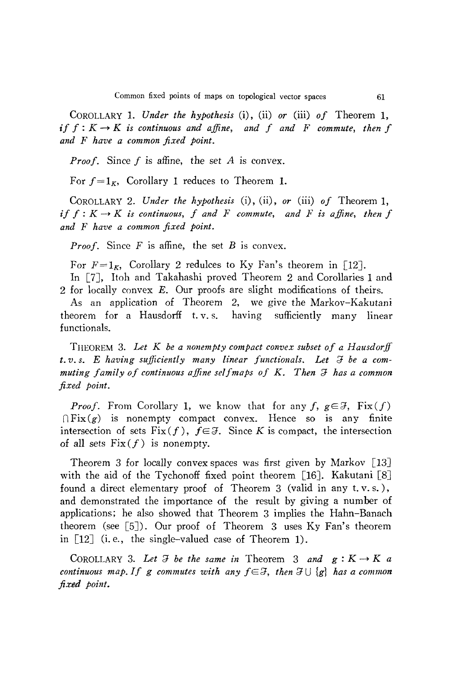COROLLARY 1. *Under the hypothesis* (i), (ii) *or* (iii) *of* Theorem 1,  $\mathbf{i} f f : K \to K$  *is continuous and affine, and f and F commute, then f and* F *have a common fixed point.*

*Proof.* Since *f* is affine, the set *A* is convex.

For  $f = 1<sub>K</sub>$ , Corollary 1 reduces to Theorem 1.

COROLLARY 2. *Under the hypothesis* (i), (ii) , *or* (iii) *of* Theorem 1,  $if f: K \rightarrow K$  *is continuous,*  $f$  *and*  $F$  *commute,* and  $F$  *is affine, then*  $f$ *and* F *have a common fixed point.*

*Proof.* Since F is affine, the set B is convex.

For  $F=1_K$ , Corollary 2 redulces to Ky Fan's theorem in [12]. In [7], Itoh and Takahashi proved Theorem 2 and Corollaries 1 and 2 for locally convex E. Our proofs are slight modifications of theirs.

As an application of Theorem 2, we give the Markov-Kakutani theorem for a Hausdorff t. v. s. having sufficiently many linear functionals.

THEOREM 3. *Let K be a nonempty compact convex subset of a Hausdorff t.v.s. E having* sufficiently many linear functionals. Let  $\Im$  be a com*muting family of continuous affine selfmaps of* K. *Then;;; has a common fixed point.*

*Proof.* From Corollary 1, we know that for any  $f, g \in \mathcal{F}$ ,  $Fix(f)$  $\bigcap Fix(g)$  is nonempty compact convex. Hence so is any finite intersection of sets  $Fix(f)$ ,  $f \in \mathcal{F}$ . Since *K* is compact, the intersection of all sets  $Fix(f)$  is nonempty.

Theorem 3 for locally convex spaces was first given by Markov [13J with the aid of the Tychonoff fixed point theorem [16]. Kakutani [8] found a direct elementary proof of Theorem 3 (valid in any t. v. s. ), and demonstrated the importance of the result by giving a number of applications; he also showed that Theorem 3 implies the Hahn-Banach theorem (see [5J). Our proof of Theorem 3 uses Ky Fan's theorem in [12J (i. *e.,* the single-valued case of Theorem 1).

COROLLARY 3. Let  $\mathcal{F}$  *be the same in* Theorem 3 *and*  $g: K \to K$  *a continuous* map. If g commutes with any  $f \in \mathcal{F}$ , then  $\mathcal{F} \cup \{g\}$  has a common *fixed point.*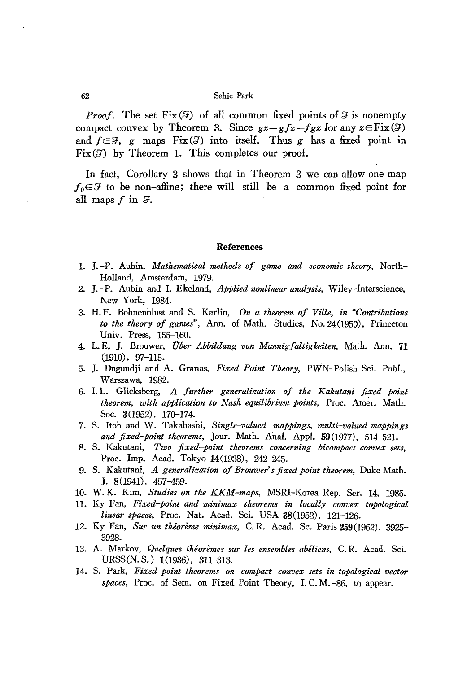## 62 Sehie Park

*Proof.* The set  $Fix(3)$  of all common fixed points of  $3$  is nonempty compact convex by Theorem 3. Since  $gz = gfz = fgz$  for any  $z \in \text{Fix}(\mathcal{F})$ and  $f \in \mathcal{F}$ , *g* maps Fix( $\mathcal{F}$ ) into itself. Thus *g* has a fixed point in  $Fix(5)$  by Theorem 1. This completes our proof.

In fact, Corollary 3 shows that in Theorem 3 we can allow one map  $f_0 \in \mathcal{F}$  to be non-affine; there will still be a common fixed point for all maps  $f$  in  $\mathcal{F}$ .

## References

- 1. J. -Po Aubin, *Mathematical methods of game and economic theory,* North-Holland, Amsterdam, 1979.
- 2. J. -Po Aubin and I. Ekeland, *Applied nonlinear analysis,* Wiley-Interscience, New York, 1984.
- 3. H. F. Bohnenblust and S. Karlin, *On a theorem of Ville, in "Contributions to the theory of games",* Ann. of Math. Studies, No. 24(1950), Princeton Univ. Press, 155-160.
- 4. L. E. J. Brouwer, *Uber Abbildung von Mannigfaltigkeiten,* Math. Ann. **71** (1910), 97-115.
- 5. J. Dugundji and A. Granas, *Fixed Point Theory,* PWN-Polish Sci. Publ., Warszawa, 1982.
- 6. 1. L. Glicksberg, *A further generalization of the Kakutani fixed point theorem, with application to Nash equilibrium points,* Proc. Amer. Math. Soc. 3(1952), 170-174.
- 7. S. Itoh and W. Takahashi, *Single-valued mappings, multi-valued mappings and fixed-point theorems,* Jour. Math. Anal. Appl. 59(1977), 514-521.
- 8. S. Kakutani, *Two fixed-point theorems concerning bicompact convex sets,* Proc. Imp. Acad. Tokyo 14(1938), 242-245.
- 9. S. Kakutani~ *A generalization ofBrouwer's fixed point theorem,* Duke Math. J. 8(1941), 457-459.
- 10. W. K. Kim, *Studies on the KKM-maps,* MSRI-Korea Rep. Ser. **14,** 1985.
- 11. Ky Fan, *Fixed-point and minimax theorems in locally convex topological linear spaces,* Proc. Nat. Acad. Sci. USA 38(1952), 121-126.
- 12. Ky Fan, *Sur un theoreme minimax,* C. R. Acad. Sc. Paris 259(1962), 3925- 3928.
- 13. A. Markov, *Quelques theoremes sur les ensembles abeliens,* C. R. Acad. Sci. URSS(N.S.) 1(1936), 311-313.
- 14. S. Park, *Fixed point theorems on compact convex sets in topological vector spaces,* Proc. of Sem. on Fixed Point Theory, 1. C. M. -86, to appear.